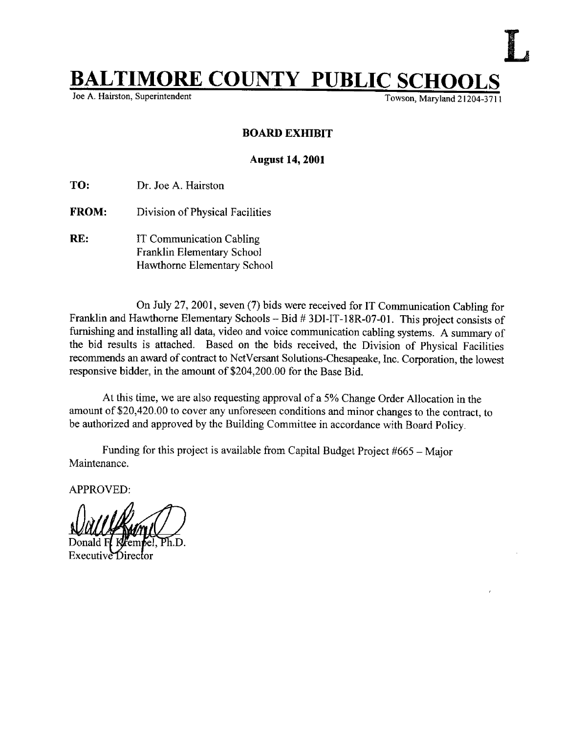## **BALTIMORE COUNTY PUBLIC SCHO**

Towson, Maryland 21204-3711

## BOARD EXHIBIT

## August 14, 2001

TO: Dr. Joe A. Hairston

- FROM: Division of Physical Facilities
- RE: IT Communication Cabling Franklin Elementary School Hawthorne Elementary School

On July 27, 2001, seven (7) bids were received for IT Communication Cabling for Franklin and Hawthorne Elementary Schools - Bid # 3DI-IT-18R-07-01. This project consists of furnishing and installing all data, video and voice communication cabling systems. A summary of the bid results is attached. Based on the bids received, the Division of Physical Facilities recommends an award of contract to NetVersant Solutions-Chesapeake, Inc. Corporation, the lowest responsive bidder, in the amount of \$204,200.00 for the Base Bid.

At this time, we are also requesting approval of <sup>a</sup> 5% Change Order Allocation in the amount of \$20,420 .00 to cover any unforeseen conditions and minor changes to the contract, to be authorized and approved by the Building Committee in accordance with Board Policy.

Funding for this project is available from Capital Budget Project  $#665 -$ Major Maintenance.

APPROVED:

Ph.D.

Executive Director